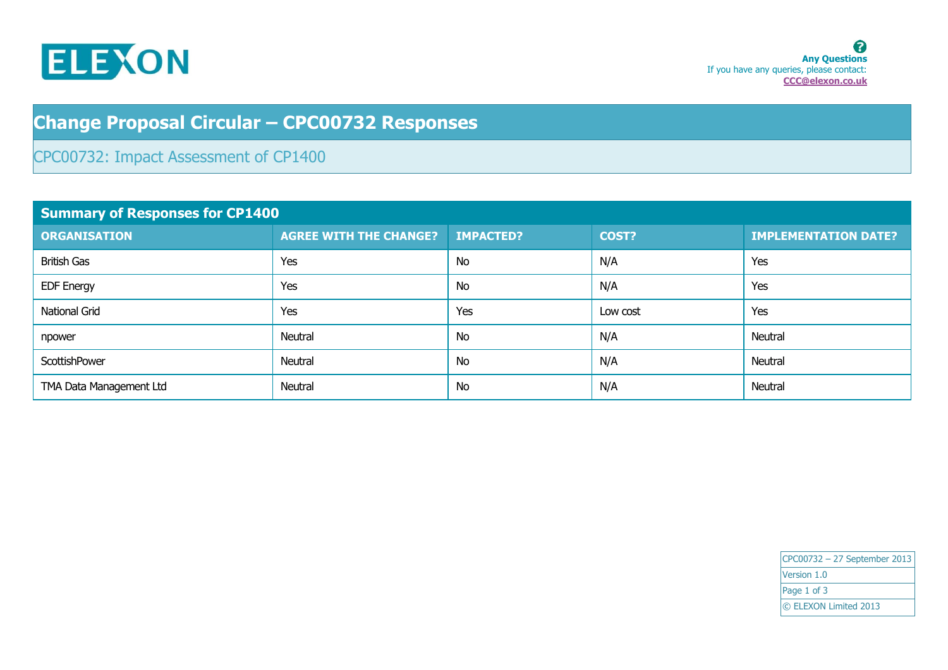

## **Change Proposal Circular – CPC00732 Responses**

## CPC00732: Impact Assessment of CP1400

| <b>Summary of Responses for CP1400</b> |                               |                  |          |                             |
|----------------------------------------|-------------------------------|------------------|----------|-----------------------------|
| <b>ORGANISATION</b>                    | <b>AGREE WITH THE CHANGE?</b> | <b>IMPACTED?</b> | COST?    | <b>IMPLEMENTATION DATE?</b> |
| <b>British Gas</b>                     | Yes                           | <b>No</b>        | N/A      | Yes                         |
| <b>EDF Energy</b>                      | Yes                           | <b>No</b>        | N/A      | Yes                         |
| National Grid                          | Yes                           | Yes              | Low cost | Yes                         |
| npower                                 | Neutral                       | <b>No</b>        | N/A      | Neutral                     |
| ScottishPower                          | Neutral                       | <b>No</b>        | N/A      | Neutral                     |
| TMA Data Management Ltd                | Neutral                       | No               | N/A      | Neutral                     |

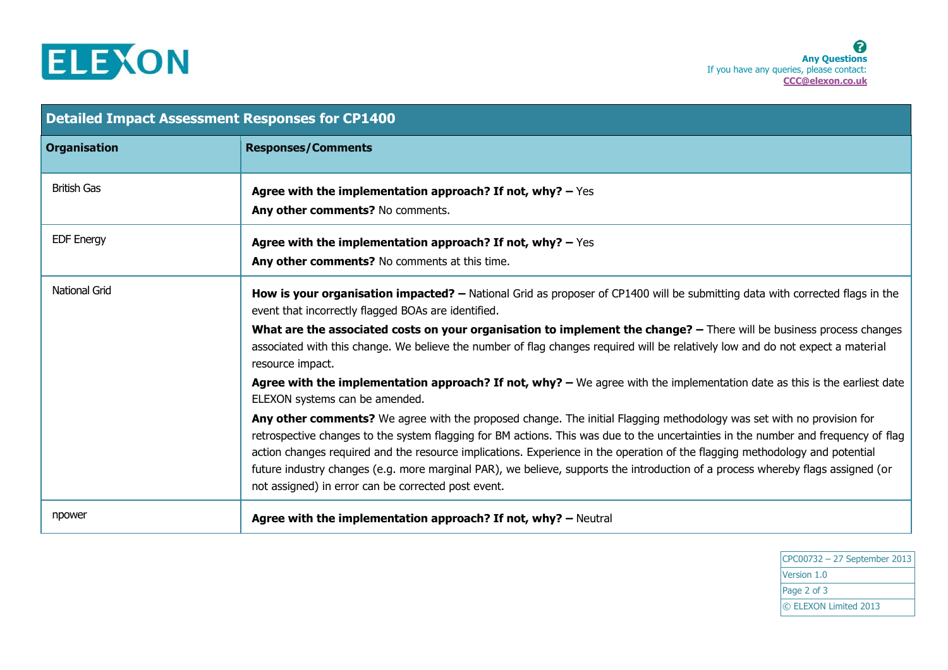

| <b>Detailed Impact Assessment Responses for CP1400</b> |                                                                                                                                                                                                                                                                                                                                                                                                                                                                                                                                                                                       |  |
|--------------------------------------------------------|---------------------------------------------------------------------------------------------------------------------------------------------------------------------------------------------------------------------------------------------------------------------------------------------------------------------------------------------------------------------------------------------------------------------------------------------------------------------------------------------------------------------------------------------------------------------------------------|--|
| <b>Organisation</b>                                    | <b>Responses/Comments</b>                                                                                                                                                                                                                                                                                                                                                                                                                                                                                                                                                             |  |
| <b>British Gas</b>                                     | Agree with the implementation approach? If not, why? $-$ Yes<br>Any other comments? No comments.                                                                                                                                                                                                                                                                                                                                                                                                                                                                                      |  |
| <b>EDF Energy</b>                                      | Agree with the implementation approach? If not, why? $-$ Yes<br>Any other comments? No comments at this time.                                                                                                                                                                                                                                                                                                                                                                                                                                                                         |  |
| <b>National Grid</b>                                   | How is your organisation impacted? - National Grid as proposer of CP1400 will be submitting data with corrected flags in the<br>event that incorrectly flagged BOAs are identified.                                                                                                                                                                                                                                                                                                                                                                                                   |  |
|                                                        | What are the associated costs on your organisation to implement the change? - There will be business process changes<br>associated with this change. We believe the number of flag changes required will be relatively low and do not expect a material<br>resource impact.                                                                                                                                                                                                                                                                                                           |  |
|                                                        | Agree with the implementation approach? If not, $why? - We$ agree with the implementation date as this is the earliest date<br>ELEXON systems can be amended.                                                                                                                                                                                                                                                                                                                                                                                                                         |  |
|                                                        | Any other comments? We agree with the proposed change. The initial Flagging methodology was set with no provision for<br>retrospective changes to the system flagging for BM actions. This was due to the uncertainties in the number and frequency of flag<br>action changes required and the resource implications. Experience in the operation of the flagging methodology and potential<br>future industry changes (e.g. more marginal PAR), we believe, supports the introduction of a process whereby flags assigned (or<br>not assigned) in error can be corrected post event. |  |
| npower                                                 | Agree with the implementation approach? If not, why? - Neutral                                                                                                                                                                                                                                                                                                                                                                                                                                                                                                                        |  |

CPC00732 – 27 September 2013 Version 1.0 Page 2 of 3 © ELEXON Limited 2013